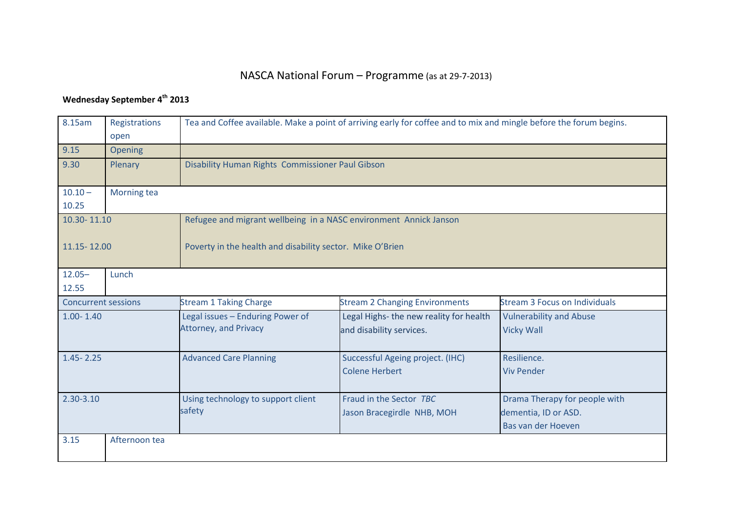## NASCA National Forum – Programme (as at 29-7-2013)

## **Wednesday September 4th 2013**

| 8.15am                       | Registrations<br>open | Tea and Coffee available. Make a point of arriving early for coffee and to mix and mingle before the forum begins.             |                                                                     |                                                                             |  |  |  |  |
|------------------------------|-----------------------|--------------------------------------------------------------------------------------------------------------------------------|---------------------------------------------------------------------|-----------------------------------------------------------------------------|--|--|--|--|
| 9.15                         | Opening               |                                                                                                                                |                                                                     |                                                                             |  |  |  |  |
| 9.30                         | Plenary               | Disability Human Rights Commissioner Paul Gibson                                                                               |                                                                     |                                                                             |  |  |  |  |
| $10.10 -$<br>10.25           | Morning tea           |                                                                                                                                |                                                                     |                                                                             |  |  |  |  |
| 10.30-11.10<br>11.15 - 12.00 |                       | Refugee and migrant wellbeing in a NASC environment Annick Janson<br>Poverty in the health and disability sector. Mike O'Brien |                                                                     |                                                                             |  |  |  |  |
| $12.05 -$<br>12.55           | Lunch                 |                                                                                                                                |                                                                     |                                                                             |  |  |  |  |
| <b>Concurrent sessions</b>   |                       | <b>Stream 1 Taking Charge</b>                                                                                                  | <b>Stream 2 Changing Environments</b>                               | <b>Stream 3 Focus on Individuals</b>                                        |  |  |  |  |
| $1.00 - 1.40$                |                       | Legal issues - Enduring Power of<br><b>Attorney, and Privacy</b>                                                               | Legal Highs- the new reality for health<br>and disability services. | <b>Vulnerability and Abuse</b><br><b>Vicky Wall</b>                         |  |  |  |  |
| $1.45 - 2.25$                |                       | <b>Advanced Care Planning</b>                                                                                                  | Successful Ageing project. (IHC)<br><b>Colene Herbert</b>           | Resilience.<br><b>Viv Pender</b>                                            |  |  |  |  |
| $2.30 - 3.10$                |                       | Using technology to support client<br>safety                                                                                   | Fraud in the Sector TBC<br>Jason Bracegirdle NHB, MOH               | Drama Therapy for people with<br>dementia, ID or ASD.<br>Bas van der Hoeven |  |  |  |  |
| 3.15                         | Afternoon tea         |                                                                                                                                |                                                                     |                                                                             |  |  |  |  |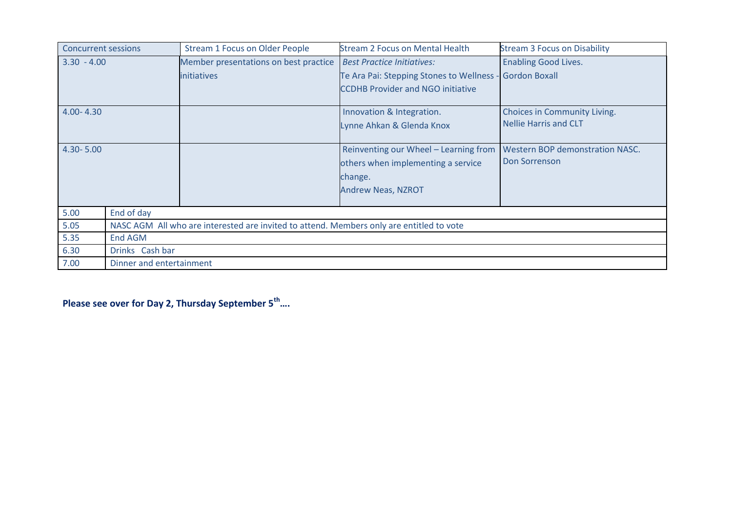| <b>Concurrent sessions</b> |                                                                                          | <b>Stream 1 Focus on Older People</b> | <b>Stream 2 Focus on Mental Health</b>    | <b>Stream 3 Focus on Disability</b>    |  |  |  |
|----------------------------|------------------------------------------------------------------------------------------|---------------------------------------|-------------------------------------------|----------------------------------------|--|--|--|
| $3.30 - 4.00$              |                                                                                          | Member presentations on best practice | <b>Best Practice Initiatives:</b>         | <b>Enabling Good Lives.</b>            |  |  |  |
|                            |                                                                                          | <i>initiatives</i>                    | Te Ara Pai: Stepping Stones to Wellness - | <b>Gordon Boxall</b>                   |  |  |  |
|                            |                                                                                          |                                       | <b>CCDHB Provider and NGO initiative</b>  |                                        |  |  |  |
| $4.00 - 4.30$              |                                                                                          |                                       | Innovation & Integration.                 | Choices in Community Living.           |  |  |  |
|                            |                                                                                          |                                       | Lynne Ahkan & Glenda Knox                 | <b>Nellie Harris and CLT</b>           |  |  |  |
|                            |                                                                                          |                                       |                                           |                                        |  |  |  |
| $4.30 - 5.00$              |                                                                                          |                                       | Reinventing our Wheel - Learning from     | <b>Western BOP demonstration NASC.</b> |  |  |  |
|                            |                                                                                          |                                       | others when implementing a service        | <b>Don Sorrenson</b>                   |  |  |  |
|                            |                                                                                          |                                       | change.                                   |                                        |  |  |  |
|                            |                                                                                          |                                       | <b>Andrew Neas, NZROT</b>                 |                                        |  |  |  |
|                            |                                                                                          |                                       |                                           |                                        |  |  |  |
| 5.00                       | End of day                                                                               |                                       |                                           |                                        |  |  |  |
| 5.05                       | NASC AGM All who are interested are invited to attend. Members only are entitled to vote |                                       |                                           |                                        |  |  |  |
| 5.35                       | <b>End AGM</b>                                                                           |                                       |                                           |                                        |  |  |  |
| 6.30                       | Drinks Cash bar                                                                          |                                       |                                           |                                        |  |  |  |
| 7.00                       | Dinner and entertainment                                                                 |                                       |                                           |                                        |  |  |  |

**Please see over for Day 2, Thursday September 5th….**